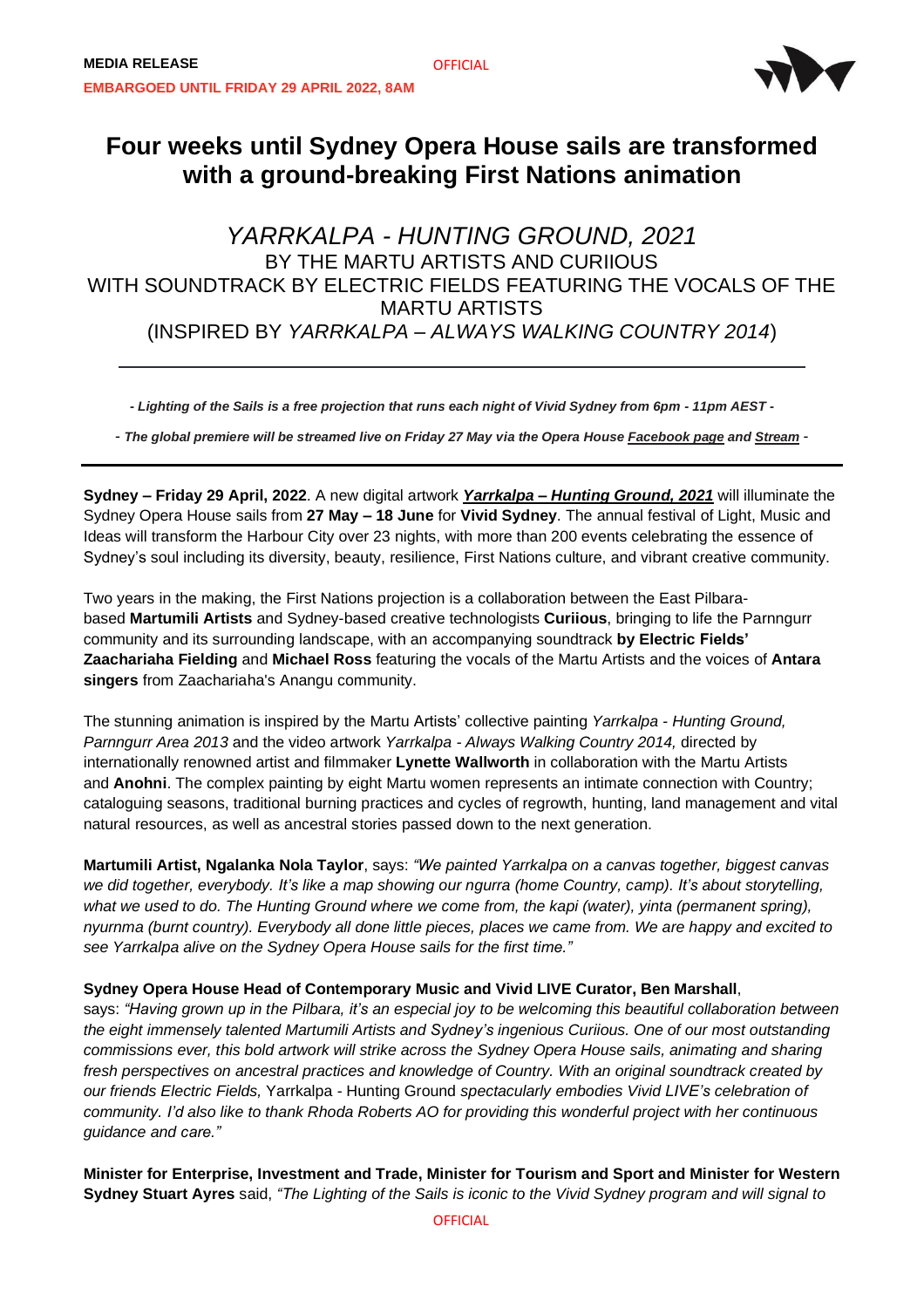

# **Four weeks until Sydney Opera House sails are transformed with a ground-breaking First Nations animation**

**OFFICIAL** 

## *YARRKALPA - HUNTING GROUND, 2021* BY THE MARTU ARTISTS AND CURIIOUS WITH SOUNDTRACK BY ELECTRIC FIELDS FEATURING THE VOCALS OF THE MARTU ARTISTS (INSPIRED BY *YARRKALPA – ALWAYS WALKING COUNTRY 2014*)

*- Lighting of the Sails is a free projection that runs each night of Vivid Sydney from 6pm - 11pm AEST -*

*- The global premiere will be streamed live on Friday 27 May via the Opera House [Facebook page](https://www.facebook.com/sydneyoperahouse/) and [Stream](https://stream.sydneyoperahouse.com/browse) -*

**Sydney – Friday 29 April, 2022**. A new digital artwork *[Yarrkalpa](https://www.sydneyoperahouse.com/festivals/vivid-live/lighting-the-sails.html) – Hunting Ground, 2021* will illuminate the Sydney Opera House sails from **27 May – 18 June** for **Vivid Sydney**. The annual festival of Light, Music and Ideas will transform the Harbour City over 23 nights, with more than 200 events celebrating the essence of Sydney's soul including its diversity, beauty, resilience, First Nations culture, and vibrant creative community.

Two years in the making, the First Nations projection is a collaboration between the East Pilbarabased **Martumili Artists** and Sydney-based creative technologists **Curiious**, bringing to life the Parnngurr community and its surrounding landscape, with an accompanying soundtrack **by Electric Fields' Zaachariaha Fielding** and **Michael Ross** featuring the vocals of the Martu Artists and the voices of **Antara singers** from Zaachariaha's Anangu community.

The stunning animation is inspired by the Martu Artists' collective painting *Yarrkalpa - Hunting Ground, Parnngurr Area 2013* and the video artwork *Yarrkalpa - Always Walking Country 2014,* directed by internationally renowned artist and filmmaker **Lynette Wallworth** in collaboration with the Martu Artists and **Anohni**. The complex painting by eight Martu women represents an intimate connection with Country; cataloguing seasons, traditional burning practices and cycles of regrowth, hunting, land management and vital natural resources, as well as ancestral stories passed down to the next generation.

**Martumili Artist, Ngalanka Nola Taylor**, says: *"We painted Yarrkalpa on a canvas together, biggest canvas* we did together, everybody. It's like a map showing our ngurra (home Country, camp). It's about storytelling, what we used to do. The Hunting Ground where we come from, the kapi (water), yinta (permanent spring), nyurnma (burnt country). Everybody all done little pieces, places we came from. We are happy and excited to *see Yarrkalpa alive on the Sydney Opera House sails for the first time."*

## **Sydney Opera House Head of Contemporary Music and Vivid LIVE Curator, Ben Marshall**,

says: "Having grown up in the Pilbara, it's an especial joy to be welcoming this beautiful collaboration between *the eight immensely talented Martumili Artists and Sydney's ingenious Curiious. One of our most outstanding commissions ever, this bold artwork will strike across the Sydney Opera House sails, animating and sharing fresh perspectives on ancestral practices and knowledge of Country. With an original soundtrack created by our friends Electric Fields,* Yarrkalpa - Hunting Ground *spectacularly embodies Vivid LIVE's celebration of* community. I'd also like to thank Rhoda Roberts AO for providing this wonderful project with her continuous *guidance and care."*

**Minister for Enterprise, Investment and Trade, Minister for Tourism and Sport and Minister for Western** Sydney Stuart Ayres said, "The Lighting of the Sails is iconic to the Vivid Sydney program and will signal to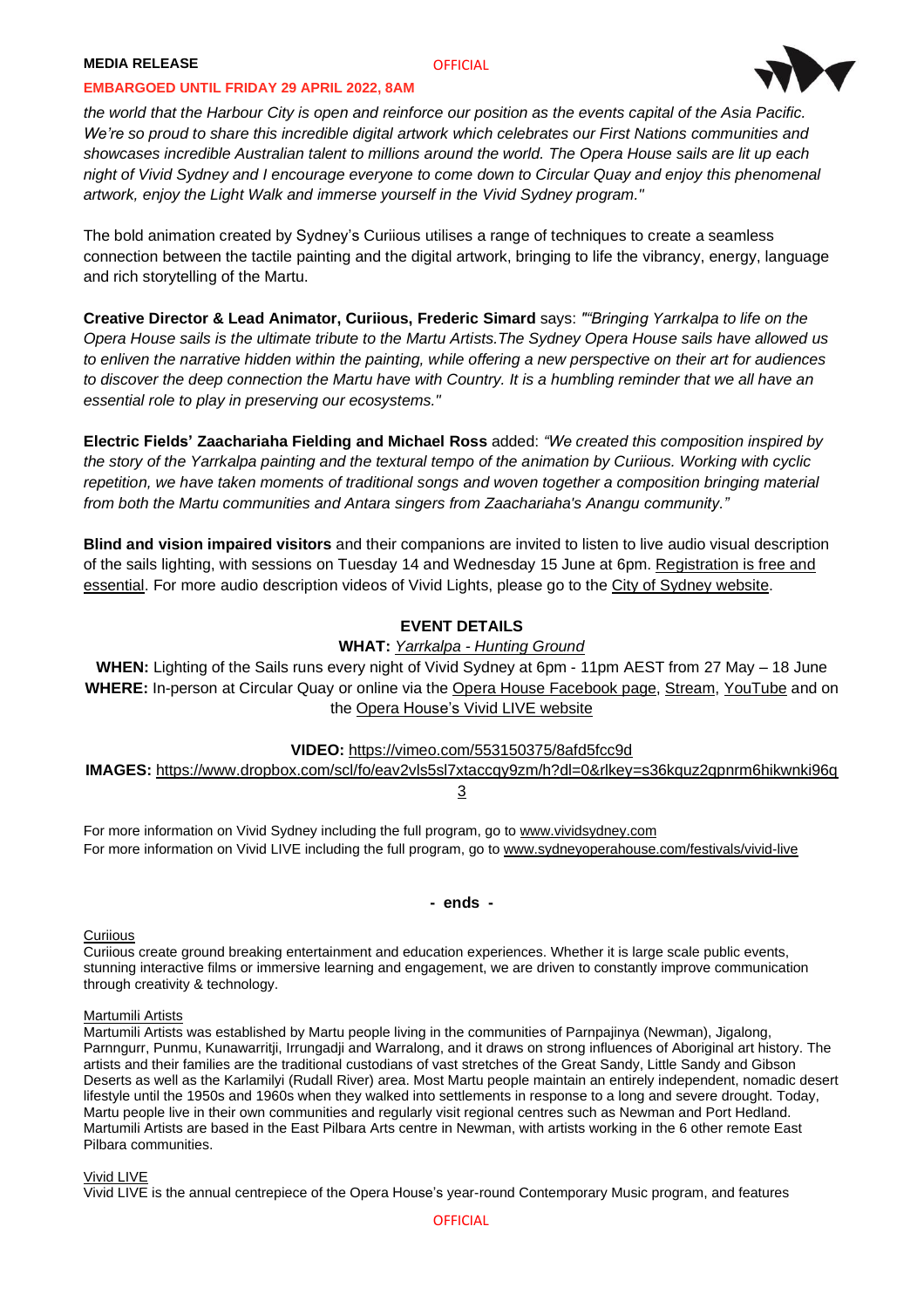### **MEDIA RELEASE**

#### **OFFICIAL**

#### **EMBARGOED UNTIL FRIDAY 29 APRIL 2022, 8AM**



the world that the Harbour City is open and reinforce our position as the events capital of the Asia Pacific. *We're so proud to share this incredible digital artwork which celebrates our First Nations communities and* showcases incredible Australian talent to millions around the world. The Opera House sails are lit up each night of Vivid Sydney and I encourage everyone to come down to Circular Quay and enjoy this phenomenal *artwork, enjoy the Light Walk and immerse yourself in the Vivid Sydney program."*

The bold animation created by Sydney's Curiious utilises a range of techniques to create a seamless connection between the tactile painting and the digital artwork, bringing to life the vibrancy, energy, language and rich storytelling of the Martu.

**Creative Director & Lead Animator, Curiious, Frederic Simard** says: *""Bringing Yarrkalpa to life on the* Opera House sails is the ultimate tribute to the Martu Artists. The Sydney Opera House sails have allowed us to enliven the narrative hidden within the painting, while offering a new perspective on their art for audiences to discover the deep connection the Martu have with Country. It is a humbling reminder that we all have an *essential role to play in preserving our ecosystems."*

**Electric Fields' Zaachariaha Fielding and Michael Ross** added: *"We created this composition inspired by* the story of the Yarrkalpa painting and the textural tempo of the animation by Curijous. Working with cyclic *repetition, we have taken moments of traditional songs and woven together a composition bringing material from both the Martu communities and Antara singers from Zaachariaha's Anangu community."*

**Blind and vision impaired visitors** and their companions are invited to listen to live audio visual description of the sails lighting, with sessions on Tuesday 14 and Wednesday 15 June at 6pm. [Registration](https://www.sydneyoperahouse.com/visit-us/tours-and-experiences/vivid-live-audio-described-2022.html) is free and [essential.](https://www.sydneyoperahouse.com/visit-us/tours-and-experiences/vivid-live-audio-described-2022.html) For more audio description videos of Vivid Lights, please go to the City of Sydney [website.](https://www.cityofsydney.nsw.gov.au/)

## **EVENT DETAILS**

## **WHAT:** *[Yarrkalpa](https://www.sydneyoperahouse.com/festivals/vivid-live/lighting-the-sails.html) - Hunting Ground*

**WHEN:** Lighting of the Sails runs every night of Vivid Sydney at 6pm - 11pm AEST from 27 May – 18 June **WHERE:** In-person at Circular Quay or online via the Opera House [Facebook](https://www.facebook.com/sydneyoperahouse/) page, [Stream,](https://stream.sydneyoperahouse.com/browse) [YouTube](https://www.youtube.com/sydneyoperahouse) and on the Opera [House's](http://www.sydneyoperahouse.com/festivals/vivid-live) Vivid LIVE website

**VIDEO:** <https://vimeo.com/553150375/8afd5fcc9d>

**IMAGES:** [https://www.dropbox.com/scl/fo/eav2vls5sl7xtaccqy9zm/h?dl=0&rlkey=s36kquz2qpnrm6hikwnki96q](https://www.dropbox.com/scl/fo/eav2vls5sl7xtaccqy9zm/h?dl=0&rlkey=s36kquz2qpnrm6hikwnki96q3) [3](https://www.dropbox.com/scl/fo/eav2vls5sl7xtaccqy9zm/h?dl=0&rlkey=s36kquz2qpnrm6hikwnki96q3)

For more information on Vivid Sydney including the full program, go to [www.vividsydney.com](http://www.vividsydney.com/) For more information on Vivid LIVE including the full program, go to [www.sydneyoperahouse.com/festivals/vivid-live](http://www.sydneyoperahouse.com/festivals/vivid-live)

**- ends -**

#### **[Curiious](https://curiious.com/)**

Curiious create ground breaking entertainment and education experiences. Whether it is large scale public events, stunning interactive films or immersive learning and engagement, we are driven to constantly improve communication through creativity & technology.

#### [Martumili](http://martumili.com.au/) Artists

Martumili Artists was established by Martu people living in the communities of Parnpajinya (Newman), Jigalong, Parnngurr, Punmu, Kunawarritji, Irrungadji and Warralong, and it draws on strong influences of Aboriginal art history. The artists and their families are the traditional custodians of vast stretches of the Great Sandy, Little Sandy and Gibson Deserts as well as the Karlamilyi (Rudall River) area. Most Martu people maintain an entirely independent, nomadic desert lifestyle until the 1950s and 1960s when they walked into settlements in response to a long and severe drought. Today, Martu people live in their own communities and regularly visit regional centres such as Newman and Port Hedland. Martumili Artists are based in the East Pilbara Arts centre in Newman, with artists working in the 6 other remote East Pilbara communities.

#### Vivid [LIVE](http://www.sydneyoperahouse.com/festivals/vivid-live)

Vivid LIVE is the annual centrepiece of the Opera House's year-round Contemporary Music program, and features